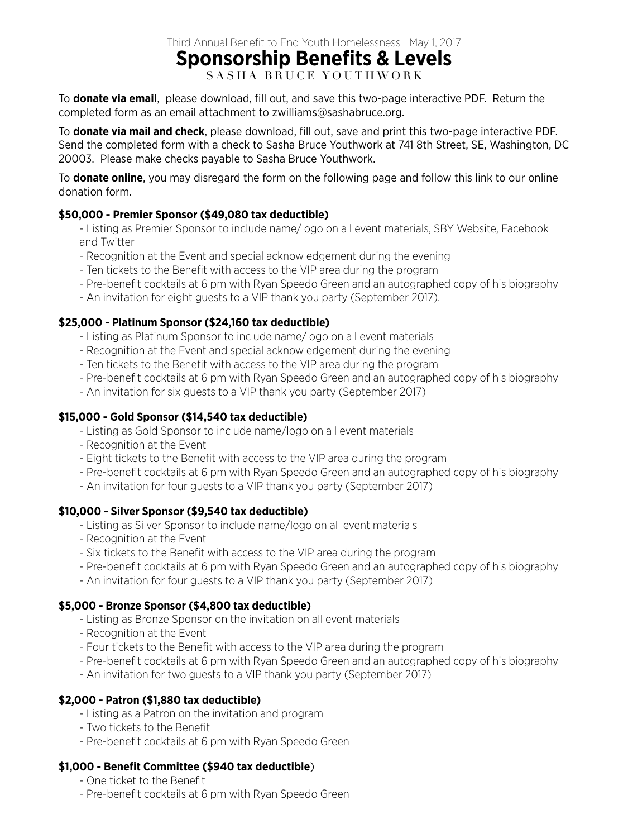Third Annual Benefit to End Youth Homelessness May 1, 2017

# **Sponsorship Benefits & Levels**

SASHA BRUCE YOUTHWORK

To **donate via email**, please download, fill out, and save this two-page interactive PDF. Return the completed form as an email attachment to zwilliams@sashabruce.org.

To **donate via mail and check**, please download, fill out, save and print this two-page interactive PDF. Send the completed form with a check to Sasha Bruce Youthwork at 741 8th Street, SE, Washington, DC 20003. Please make checks payable to Sasha Bruce Youthwork.

To **donate online**, you may disregard the form on the following page and follow [this link](https://sby40.wufoo.com/forms/r1jsaaa81ftyy4j/) to our online donation form.

### **\$50,000 - Premier Sponsor (\$49,080 tax deductible)**

- Listing as Premier Sponsor to include name/logo on all event materials, SBY Website, Facebook and Twitter
- Recognition at the Event and special acknowledgement during the evening
- Ten tickets to the Benefit with access to the VIP area during the program
- Pre-benefit cocktails at 6 pm with Ryan Speedo Green and an autographed copy of his biography
- An invitation for eight guests to a VIP thank you party (September 2017).

#### **\$25,000 - Platinum Sponsor (\$24,160 tax deductible)**

- Listing as Platinum Sponsor to include name/logo on all event materials
- Recognition at the Event and special acknowledgement during the evening
- Ten tickets to the Benefit with access to the VIP area during the program
- Pre-benefit cocktails at 6 pm with Ryan Speedo Green and an autographed copy of his biography
- An invitation for six guests to a VIP thank you party (September 2017)

#### **\$15,000 - Gold Sponsor (\$14,540 tax deductible)**

- Listing as Gold Sponsor to include name/logo on all event materials
- Recognition at the Event
- Eight tickets to the Benefit with access to the VIP area during the program
- Pre-benefit cocktails at 6 pm with Ryan Speedo Green and an autographed copy of his biography
- An invitation for four guests to a VIP thank you party (September 2017)

#### **\$10,000 - Silver Sponsor (\$9,540 tax deductible)**

- Listing as Silver Sponsor to include name/logo on all event materials
- Recognition at the Event
- Six tickets to the Benefit with access to the VIP area during the program
- Pre-benefit cocktails at 6 pm with Ryan Speedo Green and an autographed copy of his biography
- An invitation for four guests to a VIP thank you party (September 2017)

#### **\$5,000 - Bronze Sponsor (\$4,800 tax deductible)**

- Listing as Bronze Sponsor on the invitation on all event materials
- Recognition at the Event
- Four tickets to the Benefit with access to the VIP area during the program
- Pre-benefit cocktails at 6 pm with Ryan Speedo Green and an autographed copy of his biography
- An invitation for two guests to a VIP thank you party (September 2017)

#### **\$2,000 - Patron (\$1,880 tax deductible)**

- Listing as a Patron on the invitation and program
- Two tickets to the Benefit
- Pre-benefit cocktails at 6 pm with Ryan Speedo Green

#### **\$1,000 - Benefit Committee (\$940 tax deductible**)

- One ticket to the Benefit
- Pre-benefit cocktails at 6 pm with Ryan Speedo Green